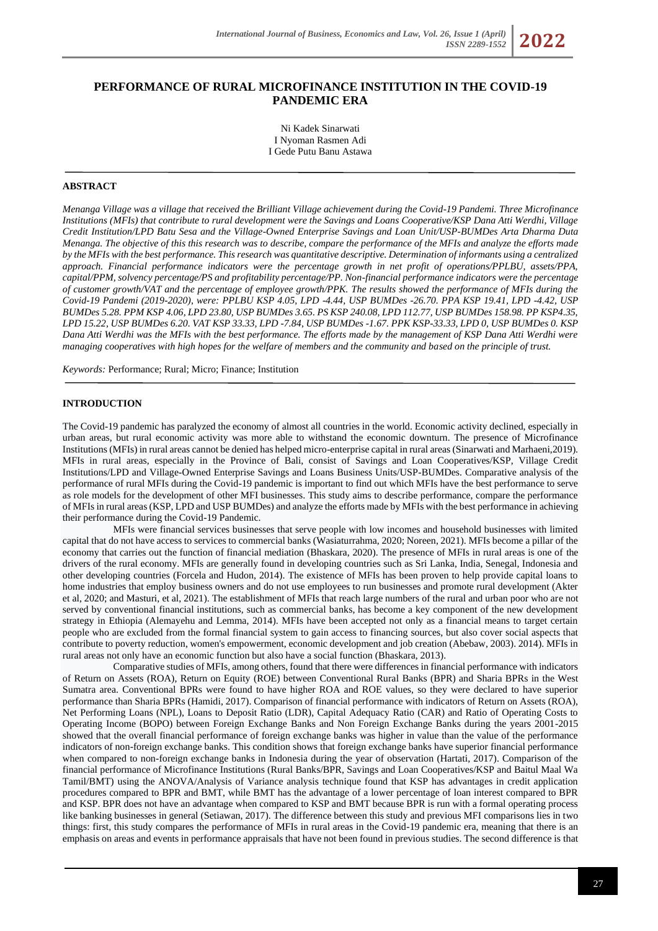# **PERFORMANCE OF RURAL MICROFINANCE INSTITUTION IN THE COVID-19 PANDEMIC ERA**

Ni Kadek Sinarwati I Nyoman Rasmen Adi I Gede Putu Banu Astawa

# **ABSTRACT**

*Menanga Village was a village that received the Brilliant Village achievement during the Covid-19 Pandemi. Three Microfinance Institutions (MFIs) that contribute to rural development were the Savings and Loans Cooperative/KSP Dana Atti Werdhi, Village Credit Institution/LPD Batu Sesa and the Village-Owned Enterprise Savings and Loan Unit/USP-BUMDes Arta Dharma Duta Menanga. The objective of this this research was to describe, compare the performance of the MFIs and analyze the efforts made by the MFIs with the best performance. This research was quantitative descriptive. Determination of informants using a centralized approach. Financial performance indicators were the percentage growth in net profit of operations/PPLBU, assets/PPA, capital/PPM, solvency percentage/PS and profitability percentage/PP. Non-financial performance indicators were the percentage of customer growth/VAT and the percentage of employee growth/PPK. The results showed the performance of MFIs during the Covid-19 Pandemi (2019-2020), were: PPLBU KSP 4.05, LPD -4.44, USP BUMDes -26.70. PPA KSP 19.41, LPD -4.42, USP BUMDes 5.28. PPM KSP 4.06, LPD 23.80, USP BUMDes 3.65. PS KSP 240.08, LPD 112.77, USP BUMDes 158.98. PP KSP4.35, LPD 15.22, USP BUMDes 6.20. VAT KSP 33.33, LPD -7.84, USP BUMDes -1.67. PPK KSP-33.33, LPD 0, USP BUMDes 0. KSP Dana Atti Werdhi was the MFIs with the best performance. The efforts made by the management of KSP Dana Atti Werdhi were managing cooperatives with high hopes for the welfare of members and the community and based on the principle of trust.*

*Keywords:* Performance; Rural; Micro; Finance; Institution

#### **INTRODUCTION**

The Covid-19 pandemic has paralyzed the economy of almost all countries in the world. Economic activity declined, especially in urban areas, but rural economic activity was more able to withstand the economic downturn. The presence of Microfinance Institutions (MFIs) in rural areas cannot be denied has helped micro-enterprise capital in rural areas (Sinarwati and Marhaeni,2019). MFIs in rural areas, especially in the Province of Bali, consist of Savings and Loan Cooperatives/KSP, Village Credit Institutions/LPD and Village-Owned Enterprise Savings and Loans Business Units/USP-BUMDes. Comparative analysis of the performance of rural MFIs during the Covid-19 pandemic is important to find out which MFIs have the best performance to serve as role models for the development of other MFI businesses. This study aims to describe performance, compare the performance of MFIs in rural areas (KSP, LPD and USP BUMDes) and analyze the efforts made by MFIs with the best performance in achieving their performance during the Covid-19 Pandemic.

MFIs were financial services businesses that serve people with low incomes and household businesses with limited capital that do not have access to services to commercial banks (Wasiaturrahma, 2020; Noreen, 2021). MFIs become a pillar of the economy that carries out the function of financial mediation (Bhaskara, 2020). The presence of MFIs in rural areas is one of the drivers of the rural economy. MFIs are generally found in developing countries such as Sri Lanka, India, Senegal, Indonesia and other developing countries (Forcela and Hudon, 2014). The existence of MFIs has been proven to help provide capital loans to home industries that employ business owners and do not use employees to run businesses and promote rural development (Akter et al, 2020; and Masturi, et al, 2021). The establishment of MFIs that reach large numbers of the rural and urban poor who are not served by conventional financial institutions, such as commercial banks, has become a key component of the new development strategy in Ethiopia (Alemayehu and Lemma, 2014). MFIs have been accepted not only as a financial means to target certain people who are excluded from the formal financial system to gain access to financing sources, but also cover social aspects that contribute to poverty reduction, women's empowerment, economic development and job creation (Abebaw, 2003). 2014). MFIs in rural areas not only have an economic function but also have a social function (Bhaskara, 2013).

Comparative studies of MFIs, among others, found that there were differences in financial performance with indicators of Return on Assets (ROA), Return on Equity (ROE) between Conventional Rural Banks (BPR) and Sharia BPRs in the West Sumatra area. Conventional BPRs were found to have higher ROA and ROE values, so they were declared to have superior performance than Sharia BPRs (Hamidi, 2017). Comparison of financial performance with indicators of Return on Assets (ROA), Net Performing Loans (NPL), Loans to Deposit Ratio (LDR), Capital Adequacy Ratio (CAR) and Ratio of Operating Costs to Operating Income (BOPO) between Foreign Exchange Banks and Non Foreign Exchange Banks during the years 2001-2015 showed that the overall financial performance of foreign exchange banks was higher in value than the value of the performance indicators of non-foreign exchange banks. This condition shows that foreign exchange banks have superior financial performance when compared to non-foreign exchange banks in Indonesia during the year of observation (Hartati, 2017). Comparison of the financial performance of Microfinance Institutions (Rural Banks/BPR, Savings and Loan Cooperatives/KSP and Baitul Maal Wa Tamil/BMT) using the ANOVA/Analysis of Variance analysis technique found that KSP has advantages in credit application procedures compared to BPR and BMT, while BMT has the advantage of a lower percentage of loan interest compared to BPR and KSP. BPR does not have an advantage when compared to KSP and BMT because BPR is run with a formal operating process like banking businesses in general (Setiawan, 2017). The difference between this study and previous MFI comparisons lies in two things: first, this study compares the performance of MFIs in rural areas in the Covid-19 pandemic era, meaning that there is an emphasis on areas and events in performance appraisals that have not been found in previous studies. The second difference is that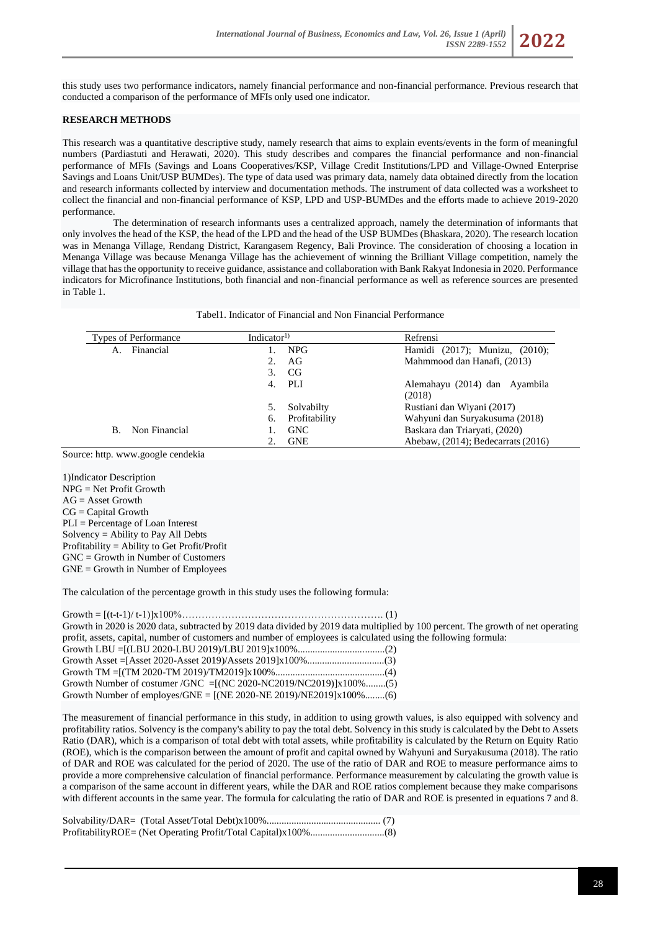this study uses two performance indicators, namely financial performance and non-financial performance. Previous research that conducted a comparison of the performance of MFIs only used one indicator.

# **RESEARCH METHODS**

This research was a quantitative descriptive study, namely research that aims to explain events/events in the form of meaningful numbers (Pardiastuti and Herawati, 2020). This study describes and compares the financial performance and non-financial performance of MFIs (Savings and Loans Cooperatives/KSP, Village Credit Institutions/LPD and Village-Owned Enterprise Savings and Loans Unit/USP BUMDes). The type of data used was primary data, namely data obtained directly from the location and research informants collected by interview and documentation methods. The instrument of data collected was a worksheet to collect the financial and non-financial performance of KSP, LPD and USP-BUMDes and the efforts made to achieve 2019-2020 performance.

The determination of research informants uses a centralized approach, namely the determination of informants that only involves the head of the KSP, the head of the LPD and the head of the USP BUMDes (Bhaskara, 2020). The research location was in Menanga Village, Rendang District, Karangasem Regency, Bali Province. The consideration of choosing a location in Menanga Village was because Menanga Village has the achievement of winning the Brilliant Village competition, namely the village that has the opportunity to receive guidance, assistance and collaboration with Bank Rakyat Indonesia in 2020. Performance indicators for Microfinance Institutions, both financial and non-financial performance as well as reference sources are presented in Table 1.

Tabel1. Indicator of Financial and Non Financial Performance

| <b>Types of Performance</b> |                  | Indicator <sup>1)</sup> | Refrensi                           |
|-----------------------------|------------------|-------------------------|------------------------------------|
| А.                          | Financial        | NPG                     | Hamidi (2017); Munizu, (2010);     |
|                             |                  | AG                      | Mahmmood dan Hanafi, (2013)        |
|                             |                  | CG<br>3.                |                                    |
|                             |                  | PLI<br>4.               | Alemahayu (2014) dan Ayambila      |
|                             |                  |                         | (2018)                             |
|                             |                  | Solvabilty              | Rustiani dan Wiyani (2017)         |
|                             |                  | Profitability<br>6.     | Wahyuni dan Suryakusuma (2018)     |
|                             | B. Non Financial | <b>GNC</b>              | Baskara dan Triaryati, (2020)      |
|                             |                  | <b>GNE</b>              | Abebaw, (2014); Bedecarrats (2016) |

Source: http. [www.google](http://www.google/) cendekia

1)Indicator Description NPG = Net Profit Growth  $AG = Asset Growth$  $CG = Capital Growth$ PLI = Percentage of Loan Interest Solvency = Ability to Pay All Debts Profitability = Ability to Get Profit/Profit GNC = Growth in Number of Customers GNE = Growth in Number of Employees

The calculation of the percentage growth in this study uses the following formula:

Growth = [(t-t-1)/ t-1)]x100%……………………………………………………. (1) Growth in 2020 is 2020 data, subtracted by 2019 data divided by 2019 data multiplied by 100 percent. The growth of net operating profit, assets, capital, number of customers and number of employees is calculated using the following formula: Growth LBU =[(LBU 2020-LBU 2019)/LBU 2019]x100%...................................(2) Growth Asset =[Asset 2020-Asset 2019)/Assets 2019]x100%...............................(3) Growth TM =[(TM 2020-TM 2019)/TM2019]x100%............................................(4) Growth Number of costumer /GNC =[(NC 2020-NC2019/NC2019)]x100%........(5) Growth Number of employes/GNE =  $[(NE 2020-NE 2019)/NE2019] \times 100\%$ ........(6)

The measurement of financial performance in this study, in addition to using growth values, is also equipped with solvency and profitability ratios. Solvency is the company's ability to pay the total debt. Solvency in this study is calculated by the Debt to Assets Ratio (DAR), which is a comparison of total debt with total assets, while profitability is calculated by the Return on Equity Ratio (ROE), which is the comparison between the amount of profit and capital owned by Wahyuni and Suryakusuma (2018). The ratio of DAR and ROE was calculated for the period of 2020. The use of the ratio of DAR and ROE to measure performance aims to provide a more comprehensive calculation of financial performance. Performance measurement by calculating the growth value is a comparison of the same account in different years, while the DAR and ROE ratios complement because they make comparisons with different accounts in the same year. The formula for calculating the ratio of DAR and ROE is presented in equations 7 and 8.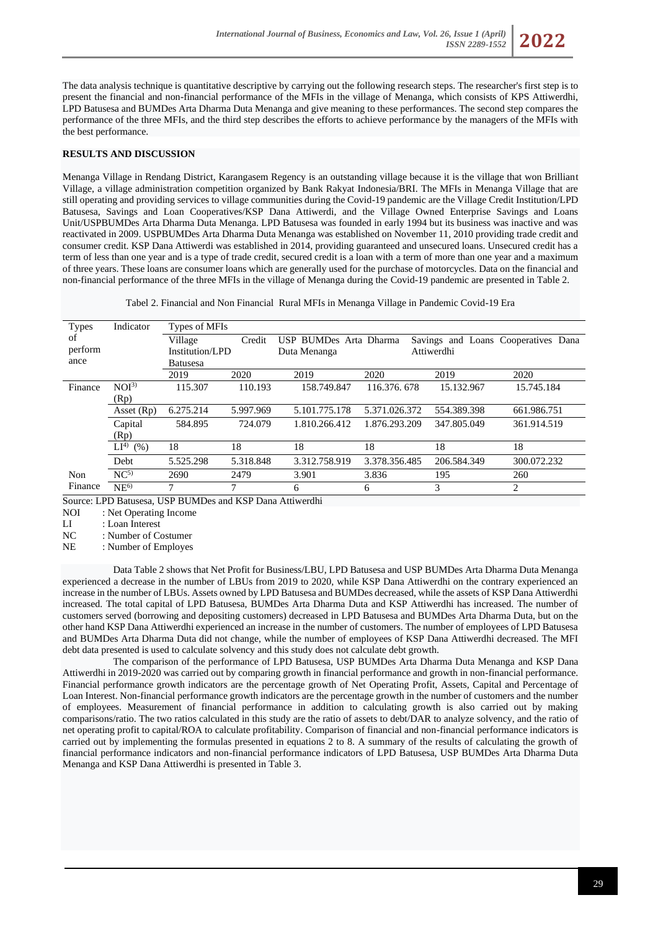

# **RESULTS AND DISCUSSION**

Menanga Village in Rendang District, Karangasem Regency is an outstanding village because it is the village that won Brilliant Village, a village administration competition organized by Bank Rakyat Indonesia/BRI. The MFIs in Menanga Village that are still operating and providing services to village communities during the Covid-19 pandemic are the Village Credit Institution/LPD Batusesa, Savings and Loan Cooperatives/KSP Dana Attiwerdi, and the Village Owned Enterprise Savings and Loans Unit/USPBUMDes Arta Dharma Duta Menanga. LPD Batusesa was founded in early 1994 but its business was inactive and was reactivated in 2009. USPBUMDes Arta Dharma Duta Menanga was established on November 11, 2010 providing trade credit and consumer credit. KSP Dana Attiwerdi was established in 2014, providing guaranteed and unsecured loans. Unsecured credit has a term of less than one year and is a type of trade credit, secured credit is a loan with a term of more than one year and a maximum of three years. These loans are consumer loans which are generally used for the purchase of motorcycles. Data on the financial and non-financial performance of the three MFIs in the village of Menanga during the Covid-19 pandemic are presented in Table 2.

| <b>Types</b> | Indicator        | Types of MFIs   |           |                        |               |             |                                     |
|--------------|------------------|-----------------|-----------|------------------------|---------------|-------------|-------------------------------------|
| of           |                  | Village         | Credit    | USP BUMDes Arta Dharma |               |             | Savings and Loans Cooperatives Dana |
| perform      |                  | Institution/LPD |           | Duta Menanga           |               | Attiwerdhi  |                                     |
| ance         |                  | <b>Batusesa</b> |           |                        |               |             |                                     |
|              |                  | 2019            | 2020      | 2019                   | 2020          | 2019        | 2020                                |
| Finance      | NOI <sup>3</sup> | 115.307         | 110.193   | 158.749.847            | 116.376, 678  | 15.132.967  | 15.745.184                          |
|              | (Rp)             |                 |           |                        |               |             |                                     |
|              | Asset $(Rp)$     | 6.275.214       | 5.997.969 | 5.101.775.178          | 5.371.026.372 | 554.389.398 | 661.986.751                         |
|              | Capital          | 584.895         | 724.079   | 1.810.266.412          | 1.876.293.209 | 347.805.049 | 361.914.519                         |
|              | (Rp)             |                 |           |                        |               |             |                                     |
|              | $LI^{4)}$ (%)    | 18              | 18        | 18                     | 18            | 18          | 18                                  |
|              | Debt             | 5.525.298       | 5.318.848 | 3.312.758.919          | 3.378.356.485 | 206.584.349 | 300.072.232                         |
| Non          | NC <sup>5</sup>  | 2690            | 2479      | 3.901                  | 3.836         | 195         | 260                                 |
| Finance      | NE <sup>6</sup>  | $\mathbf{r}$    | 7         | 6                      | 6             | 3           | 2                                   |

Source: LPD Batusesa, USP BUMDes and KSP Dana Attiwerdhi<br>NOI : Net Operating Income

: Net Operating Income

LI : Loan Interest

NC : Number of Costumer

NE : Number of Employes

Data Table 2 shows that Net Profit for Business/LBU, LPD Batusesa and USP BUMDes Arta Dharma Duta Menanga experienced a decrease in the number of LBUs from 2019 to 2020, while KSP Dana Attiwerdhi on the contrary experienced an increase in the number of LBUs. Assets owned by LPD Batusesa and BUMDes decreased, while the assets of KSP Dana Attiwerdhi increased. The total capital of LPD Batusesa, BUMDes Arta Dharma Duta and KSP Attiwerdhi has increased. The number of customers served (borrowing and depositing customers) decreased in LPD Batusesa and BUMDes Arta Dharma Duta, but on the other hand KSP Dana Attiwerdhi experienced an increase in the number of customers. The number of employees of LPD Batusesa and BUMDes Arta Dharma Duta did not change, while the number of employees of KSP Dana Attiwerdhi decreased. The MFI debt data presented is used to calculate solvency and this study does not calculate debt growth.

The comparison of the performance of LPD Batusesa, USP BUMDes Arta Dharma Duta Menanga and KSP Dana Attiwerdhi in 2019-2020 was carried out by comparing growth in financial performance and growth in non-financial performance. Financial performance growth indicators are the percentage growth of Net Operating Profit, Assets, Capital and Percentage of Loan Interest. Non-financial performance growth indicators are the percentage growth in the number of customers and the number of employees. Measurement of financial performance in addition to calculating growth is also carried out by making comparisons/ratio. The two ratios calculated in this study are the ratio of assets to debt/DAR to analyze solvency, and the ratio of net operating profit to capital/ROA to calculate profitability. Comparison of financial and non-financial performance indicators is carried out by implementing the formulas presented in equations 2 to 8. A summary of the results of calculating the growth of financial performance indicators and non-financial performance indicators of LPD Batusesa, USP BUMDes Arta Dharma Duta Menanga and KSP Dana Attiwerdhi is presented in Table 3.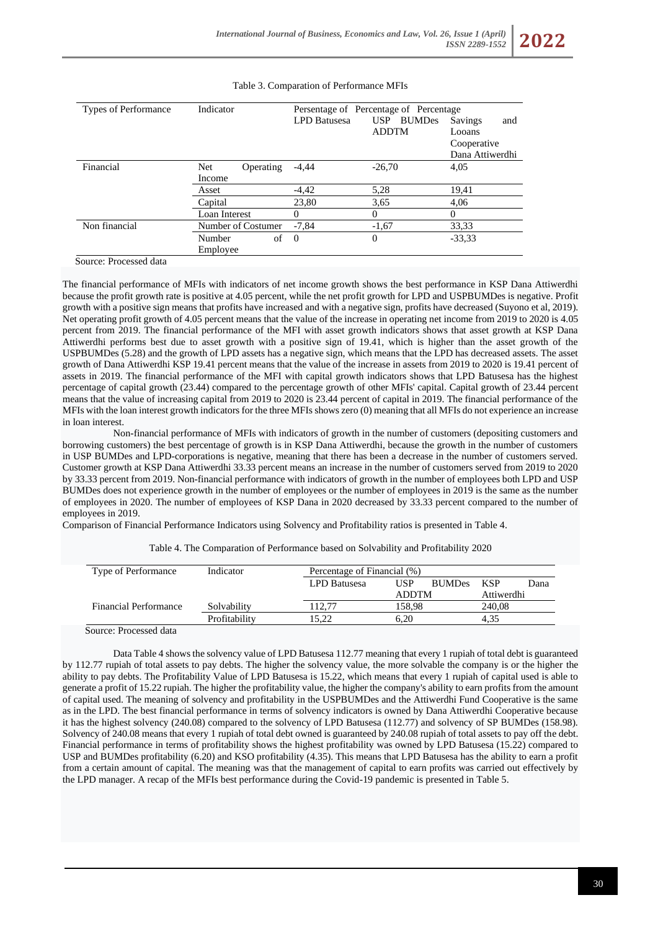#### Types of Performance Indicator Persentage of Percentage of Percentage LPD Batusesa USP BUMDes ADDTM Savings and Looans Cooperative Dana Attiwerdhi Financial Net Operating Income  $-4.44$   $-26.70$   $4.05$ Asset -4,42 5,28 19,41 Capital 23,80 3,65 4,06 Loan Interest 0 0 0 Non financial Number of Costumer -7,84 -1,67 33,33 Number of Employee 0 0 -33,33

### Table 3. Comparation of Performance MFIs

Source: Processed data

The financial performance of MFIs with indicators of net income growth shows the best performance in KSP Dana Attiwerdhi because the profit growth rate is positive at 4.05 percent, while the net profit growth for LPD and USPBUMDes is negative. Profit growth with a positive sign means that profits have increased and with a negative sign, profits have decreased (Suyono et al, 2019). Net operating profit growth of 4.05 percent means that the value of the increase in operating net income from 2019 to 2020 is 4.05 percent from 2019. The financial performance of the MFI with asset growth indicators shows that asset growth at KSP Dana Attiwerdhi performs best due to asset growth with a positive sign of 19.41, which is higher than the asset growth of the USPBUMDes (5.28) and the growth of LPD assets has a negative sign, which means that the LPD has decreased assets. The asset growth of Dana Attiwerdhi KSP 19.41 percent means that the value of the increase in assets from 2019 to 2020 is 19.41 percent of assets in 2019. The financial performance of the MFI with capital growth indicators shows that LPD Batusesa has the highest percentage of capital growth (23.44) compared to the percentage growth of other MFIs' capital. Capital growth of 23.44 percent means that the value of increasing capital from 2019 to 2020 is 23.44 percent of capital in 2019. The financial performance of the MFIs with the loan interest growth indicators for the three MFIs shows zero (0) meaning that all MFIs do not experience an increase in loan interest.

Non-financial performance of MFIs with indicators of growth in the number of customers (depositing customers and borrowing customers) the best percentage of growth is in KSP Dana Attiwerdhi, because the growth in the number of customers in USP BUMDes and LPD-corporations is negative, meaning that there has been a decrease in the number of customers served. Customer growth at KSP Dana Attiwerdhi 33.33 percent means an increase in the number of customers served from 2019 to 2020 by 33.33 percent from 2019. Non-financial performance with indicators of growth in the number of employees both LPD and USP BUMDes does not experience growth in the number of employees or the number of employees in 2019 is the same as the number of employees in 2020. The number of employees of KSP Dana in 2020 decreased by 33.33 percent compared to the number of employees in 2019.

Comparison of Financial Performance Indicators using Solvency and Profitability ratios is presented in Table 4.

| Type of Performance          | Indicator     | Percentage of Financial (%) |              |               |            |      |  |  |
|------------------------------|---------------|-----------------------------|--------------|---------------|------------|------|--|--|
|                              |               | LPD Batusesa                | USP          | <b>BUMDes</b> | <b>KSP</b> | Dana |  |  |
|                              |               |                             | <b>ADDTM</b> |               | Attiwerdhi |      |  |  |
| <b>Financial Performance</b> | Solvability   | 112.77                      | 158.98       |               | 240.08     |      |  |  |
|                              | Profitability | 15.22                       | 6.20         |               | 4.35       |      |  |  |

Table 4. The Comparation of Performance based on Solvability and Profitability 2020

Source: Processed data

Data Table 4 shows the solvency value of LPD Batusesa 112.77 meaning that every 1 rupiah of total debt is guaranteed by 112.77 rupiah of total assets to pay debts. The higher the solvency value, the more solvable the company is or the higher the ability to pay debts. The Profitability Value of LPD Batusesa is 15.22, which means that every 1 rupiah of capital used is able to generate a profit of 15.22 rupiah. The higher the profitability value, the higher the company's ability to earn profits from the amount of capital used. The meaning of solvency and profitability in the USPBUMDes and the Attiwerdhi Fund Cooperative is the same as in the LPD. The best financial performance in terms of solvency indicators is owned by Dana Attiwerdhi Cooperative because it has the highest solvency (240.08) compared to the solvency of LPD Batusesa (112.77) and solvency of SP BUMDes (158.98). Solvency of 240.08 means that every 1 rupiah of total debt owned is guaranteed by 240.08 rupiah of total assets to pay off the debt. Financial performance in terms of profitability shows the highest profitability was owned by LPD Batusesa (15.22) compared to USP and BUMDes profitability (6.20) and KSO profitability (4.35). This means that LPD Batusesa has the ability to earn a profit from a certain amount of capital. The meaning was that the management of capital to earn profits was carried out effectively by the LPD manager. A recap of the MFIs best performance during the Covid-19 pandemic is presented in Table 5.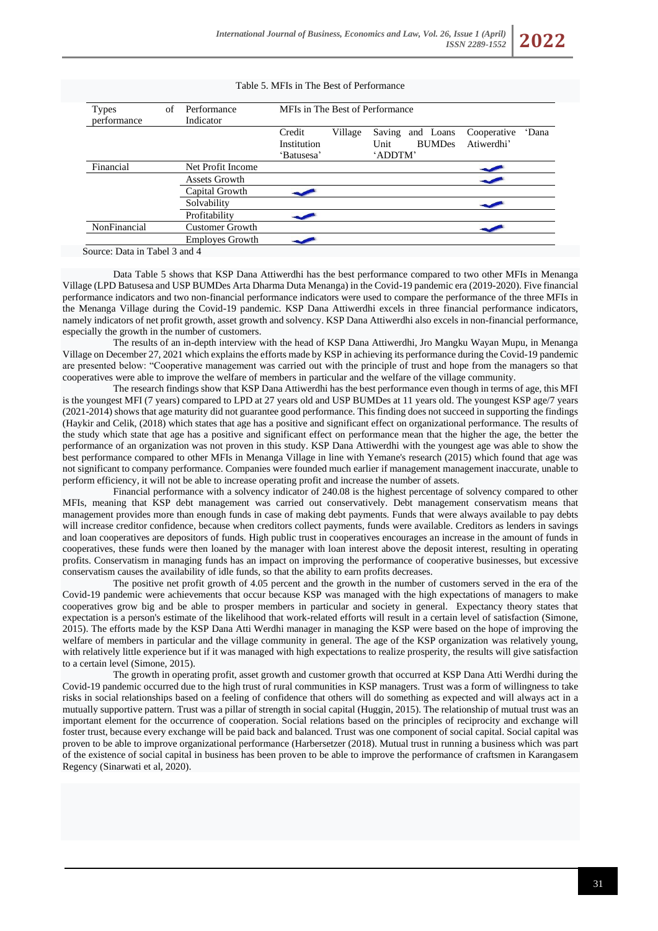| <b>Types</b><br>performance | of | MFIs in The Best of Performance<br>Performance<br>Indicator |                                     |         |                           |                            |                           |       |
|-----------------------------|----|-------------------------------------------------------------|-------------------------------------|---------|---------------------------|----------------------------|---------------------------|-------|
|                             |    |                                                             | Credit<br>Institution<br>'Batusesa' | Village | Saving<br>Unit<br>'ADDTM' | and Loans<br><b>BUMDes</b> | Cooperative<br>Atiwerdhi' | 'Dana |
| Financial                   |    | Net Profit Income                                           |                                     |         |                           |                            |                           |       |
|                             |    | Assets Growth                                               |                                     |         |                           |                            |                           |       |
|                             |    | Capital Growth                                              |                                     |         |                           |                            |                           |       |
|                             |    | Solvability                                                 |                                     |         |                           |                            |                           |       |
|                             |    | Profitability                                               |                                     |         |                           |                            |                           |       |
| NonFinancial                |    | <b>Customer Growth</b>                                      |                                     |         |                           |                            |                           |       |
|                             |    | <b>Employes Growth</b>                                      |                                     |         |                           |                            |                           |       |

Table 5. MFIs in The Best of Performance

Source: Data in Tabel 3 and 4

Data Table 5 shows that KSP Dana Attiwerdhi has the best performance compared to two other MFIs in Menanga Village (LPD Batusesa and USP BUMDes Arta Dharma Duta Menanga) in the Covid-19 pandemic era (2019-2020). Five financial performance indicators and two non-financial performance indicators were used to compare the performance of the three MFIs in the Menanga Village during the Covid-19 pandemic. KSP Dana Attiwerdhi excels in three financial performance indicators, namely indicators of net profit growth, asset growth and solvency. KSP Dana Attiwerdhi also excels in non-financial performance, especially the growth in the number of customers.

The results of an in-depth interview with the head of KSP Dana Attiwerdhi, Jro Mangku Wayan Mupu, in Menanga Village on December 27, 2021 which explains the efforts made by KSP in achieving its performance during the Covid-19 pandemic are presented below: "Cooperative management was carried out with the principle of trust and hope from the managers so that cooperatives were able to improve the welfare of members in particular and the welfare of the village community.

The research findings show that KSP Dana Attiwerdhi has the best performance even though in terms of age, this MFI is the youngest MFI (7 years) compared to LPD at 27 years old and USP BUMDes at 11 years old. The youngest KSP age/7 years (2021-2014) shows that age maturity did not guarantee good performance. This finding does not succeed in supporting the findings (Haykir and Celik, (2018) which states that age has a positive and significant effect on organizational performance. The results of the study which state that age has a positive and significant effect on performance mean that the higher the age, the better the performance of an organization was not proven in this study. KSP Dana Attiwerdhi with the youngest age was able to show the best performance compared to other MFIs in Menanga Village in line with Yemane's research (2015) which found that age was not significant to company performance. Companies were founded much earlier if management management inaccurate, unable to perform efficiency, it will not be able to increase operating profit and increase the number of assets.

Financial performance with a solvency indicator of 240.08 is the highest percentage of solvency compared to other MFIs, meaning that KSP debt management was carried out conservatively. Debt management conservatism means that management provides more than enough funds in case of making debt payments. Funds that were always available to pay debts will increase creditor confidence, because when creditors collect payments, funds were available. Creditors as lenders in savings and loan cooperatives are depositors of funds. High public trust in cooperatives encourages an increase in the amount of funds in cooperatives, these funds were then loaned by the manager with loan interest above the deposit interest, resulting in operating profits. Conservatism in managing funds has an impact on improving the performance of cooperative businesses, but excessive conservatism causes the availability of idle funds, so that the ability to earn profits decreases.

The positive net profit growth of 4.05 percent and the growth in the number of customers served in the era of the Covid-19 pandemic were achievements that occur because KSP was managed with the high expectations of managers to make cooperatives grow big and be able to prosper members in particular and society in general. Expectancy theory states that expectation is a person's estimate of the likelihood that work-related efforts will result in a certain level of satisfaction (Simone, 2015). The efforts made by the KSP Dana Atti Werdhi manager in managing the KSP were based on the hope of improving the welfare of members in particular and the village community in general. The age of the KSP organization was relatively young, with relatively little experience but if it was managed with high expectations to realize prosperity, the results will give satisfaction to a certain level (Simone, 2015).

The growth in operating profit, asset growth and customer growth that occurred at KSP Dana Atti Werdhi during the Covid-19 pandemic occurred due to the high trust of rural communities in KSP managers. Trust was a form of willingness to take risks in social relationships based on a feeling of confidence that others will do something as expected and will always act in a mutually supportive pattern. Trust was a pillar of strength in social capital (Huggin, 2015). The relationship of mutual trust was an important element for the occurrence of cooperation. Social relations based on the principles of reciprocity and exchange will foster trust, because every exchange will be paid back and balanced. Trust was one component of social capital. Social capital was proven to be able to improve organizational performance (Harbersetzer (2018). Mutual trust in running a business which was part of the existence of social capital in business has been proven to be able to improve the performance of craftsmen in Karangasem Regency (Sinarwati et al, 2020).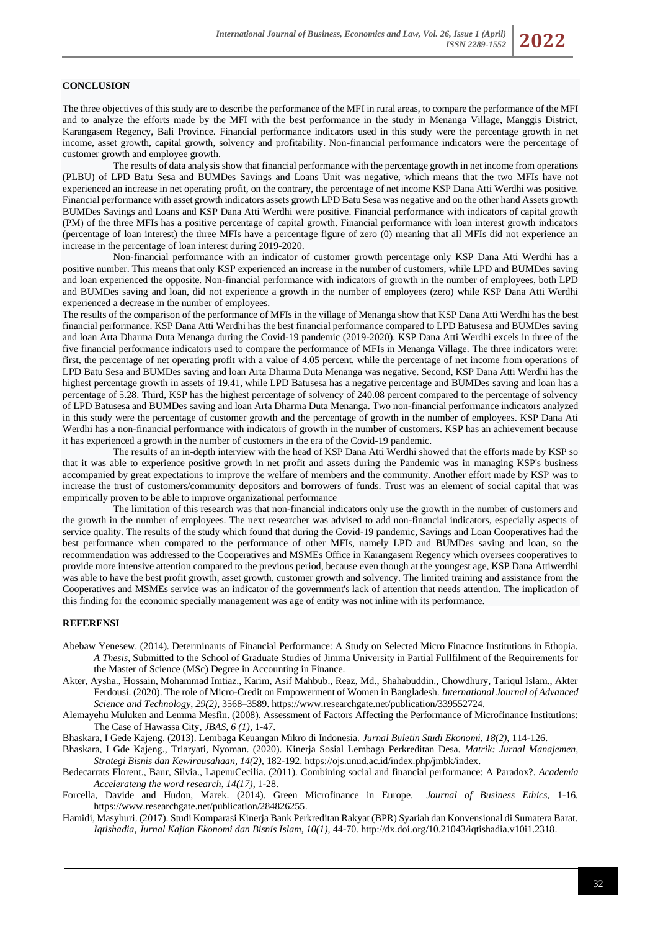# **CONCLUSION**

The three objectives of this study are to describe the performance of the MFI in rural areas, to compare the performance of the MFI and to analyze the efforts made by the MFI with the best performance in the study in Menanga Village, Manggis District, Karangasem Regency, Bali Province. Financial performance indicators used in this study were the percentage growth in net income, asset growth, capital growth, solvency and profitability. Non-financial performance indicators were the percentage of customer growth and employee growth.

The results of data analysis show that financial performance with the percentage growth in net income from operations (PLBU) of LPD Batu Sesa and BUMDes Savings and Loans Unit was negative, which means that the two MFIs have not experienced an increase in net operating profit, on the contrary, the percentage of net income KSP Dana Atti Werdhi was positive. Financial performance with asset growth indicators assets growth LPD Batu Sesa was negative and on the other hand Assets growth BUMDes Savings and Loans and KSP Dana Atti Werdhi were positive. Financial performance with indicators of capital growth (PM) of the three MFIs has a positive percentage of capital growth. Financial performance with loan interest growth indicators (percentage of loan interest) the three MFIs have a percentage figure of zero (0) meaning that all MFIs did not experience an increase in the percentage of loan interest during 2019-2020.

Non-financial performance with an indicator of customer growth percentage only KSP Dana Atti Werdhi has a positive number. This means that only KSP experienced an increase in the number of customers, while LPD and BUMDes saving and loan experienced the opposite. Non-financial performance with indicators of growth in the number of employees, both LPD and BUMDes saving and loan, did not experience a growth in the number of employees (zero) while KSP Dana Atti Werdhi experienced a decrease in the number of employees.

The results of the comparison of the performance of MFIs in the village of Menanga show that KSP Dana Atti Werdhi has the best financial performance. KSP Dana Atti Werdhi has the best financial performance compared to LPD Batusesa and BUMDes saving and loan Arta Dharma Duta Menanga during the Covid-19 pandemic (2019-2020). KSP Dana Atti Werdhi excels in three of the five financial performance indicators used to compare the performance of MFIs in Menanga Village. The three indicators were: first, the percentage of net operating profit with a value of 4.05 percent, while the percentage of net income from operations of LPD Batu Sesa and BUMDes saving and loan Arta Dharma Duta Menanga was negative. Second, KSP Dana Atti Werdhi has the highest percentage growth in assets of 19.41, while LPD Batusesa has a negative percentage and BUMDes saving and loan has a percentage of 5.28. Third, KSP has the highest percentage of solvency of 240.08 percent compared to the percentage of solvency of LPD Batusesa and BUMDes saving and loan Arta Dharma Duta Menanga. Two non-financial performance indicators analyzed in this study were the percentage of customer growth and the percentage of growth in the number of employees. KSP Dana Ati Werdhi has a non-financial performance with indicators of growth in the number of customers. KSP has an achievement because it has experienced a growth in the number of customers in the era of the Covid-19 pandemic.

The results of an in-depth interview with the head of KSP Dana Atti Werdhi showed that the efforts made by KSP so that it was able to experience positive growth in net profit and assets during the Pandemic was in managing KSP's business accompanied by great expectations to improve the welfare of members and the community. Another effort made by KSP was to increase the trust of customers/community depositors and borrowers of funds. Trust was an element of social capital that was empirically proven to be able to improve organizational performance

The limitation of this research was that non-financial indicators only use the growth in the number of customers and the growth in the number of employees. The next researcher was advised to add non-financial indicators, especially aspects of service quality. The results of the study which found that during the Covid-19 pandemic, Savings and Loan Cooperatives had the best performance when compared to the performance of other MFIs, namely LPD and BUMDes saving and loan, so the recommendation was addressed to the Cooperatives and MSMEs Office in Karangasem Regency which oversees cooperatives to provide more intensive attention compared to the previous period, because even though at the youngest age, KSP Dana Attiwerdhi was able to have the best profit growth, asset growth, customer growth and solvency. The limited training and assistance from the Cooperatives and MSMEs service was an indicator of the government's lack of attention that needs attention. The implication of this finding for the economic specially management was age of entity was not inline with its performance.

# **REFERENSI**

- Abebaw Yenesew. (2014). Determinants of Financial Performance: A Study on Selected Micro Finacnce Institutions in Ethopia. *A Thesis,* Submitted to the School of Graduate Studies of Jimma University in Partial Fullfilment of the Requirements for the Master of Science (MSc) Degree in Accounting in Finance.
- Akter, Aysha., Hossain, Mohammad Imtiaz., Karim, Asif Mahbub., Reaz, Md., Shahabuddin., Chowdhury, Tariqul Islam., Akter Ferdousi. (2020). The role of Micro-Credit on Empowerment of Women in Bangladesh. *International Journal of Advanced Science and Technology*, *29(2)*, 3568–3589. https://www.researchgate.net/publication/339552724.
- Alemayehu Muluken and Lemma Mesfin. (2008). Assessment of Factors Affecting the Performance of Microfinance Institutions: The Case of Hawassa City, *JBAS, 6 (1),* 1-47.

Bhaskara, I Gede Kajeng. (2013). Lembaga Keuangan Mikro di Indonesia. *Jurnal Buletin Studi Ekonomi, 18(2),* 114-126.

- Bhaskara, I Gde Kajeng., Triaryati, Nyoman. (2020). Kinerja Sosial Lembaga Perkreditan Desa. *Matrik: Jurnal Manajemen, Strategi Bisnis dan Kewirausahaan, 14(2),* 182-192. [https://ojs.unud.ac.id/index.php/jmbk/index.](https://ojs.unud.ac.id/index.php/jmbk/index)
- Bedecarrats Florent., Baur, Silvia., LapenuCecilia. (2011). Combining social and financial performance: A Paradox?. *Academia Accelerateng the word research*, *14(17),* 1-28.
- Forcella, Davide and Hudon, Marek. (2014). Green Microfinance in Europe. *Journal of Business Ethics,* 1-16*.*  [https://www.researchgate.net/publication/284826255.](https://www.researchgate.net/publication/284826255)
- Hamidi, Masyhuri. (2017). Studi Komparasi Kinerja Bank Perkreditan Rakyat (BPR) Syariah dan Konvensional di Sumatera Barat. *Iqtishadia, Jurnal Kajian Ekonomi dan Bisnis Islam, 10(1),* 44-70. [http://dx.doi.org/10.21043/iqtishadia.v10i1.2318.](http://dx.doi.org/10.21043/iqtishadia.v10i1.2318)